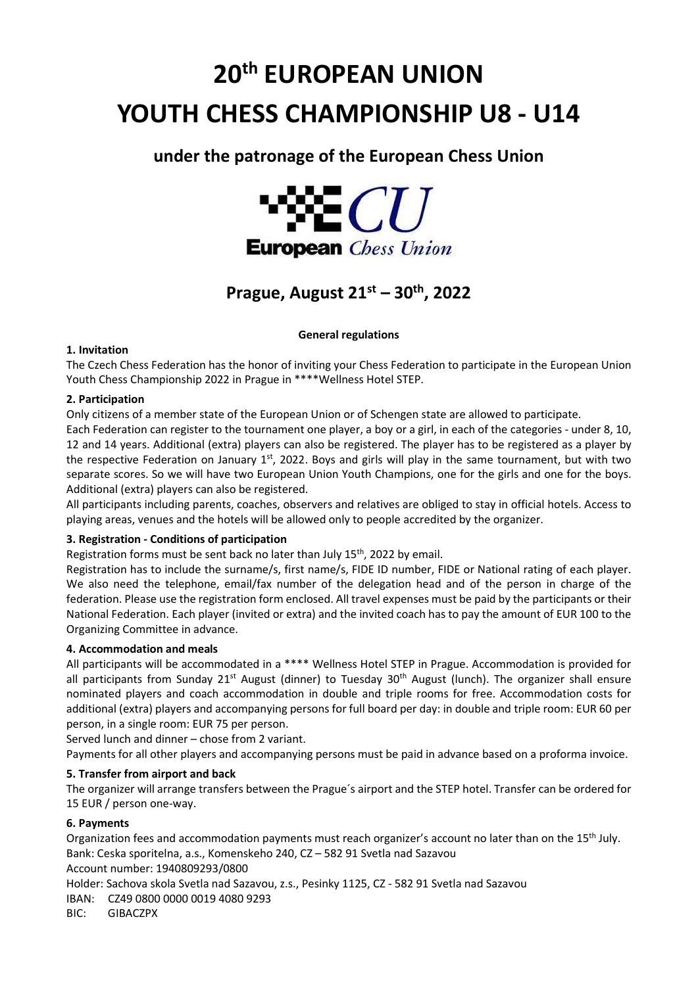# 20th EUROPEAN UNION YOUTH CHESS CHAMPIONSHIP U8 - U14

# under the patronage of the European Chess Union



# Prague, August  $21<sup>st</sup> - 30<sup>th</sup>$ , 2022

# General regulations

# 1. Invitation

The Czech Chess Federation has the honor of inviting your Chess Federation to participate in the European Union Youth Chess Championship 2022 in Prague in \*\*\*\*Wellness Hotel STEP.

# 2. Participation

Only citizens of a member state of the European Union or of Schengen state are allowed to participate.

Each Federation can register to the tournament one player, a boy or a girl, in each of the categories - under 8, 10, 12 and 14 years. Additional (extra) players can also be registered. The player has to be registered as a player by the respective Federation on January 1<sup>st</sup>, 2022. Boys and girls will play in the same tournament, but with two separate scores. So we will have two European Union Youth Champions, one for the girls and one for the boys. Additional (extra) players can also be registered.

All participants including parents, coaches, observers and relatives are obliged to stay in official hotels. Access to playing areas, venues and the hotels will be allowed only to people accredited by the organizer.

# 3. Registration - Conditions of participation

Registration forms must be sent back no later than July  $15<sup>th</sup>$ , 2022 by email.

Registration has to include the surname/s, first name/s, FIDE ID number, FIDE or National rating of each player. We also need the telephone, email/fax number of the delegation head and of the person in charge of the federation. Please use the registration form enclosed. All travel expenses must be paid by the participants or their National Federation. Each player (invited or extra) and the invited coach has to pay the amount of EUR 100 to the Organizing Committee in advance.

# 4. Accommodation and meals

All participants will be accommodated in a \*\*\*\* Wellness Hotel STEP in Prague. Accommodation is provided for all participants from Sunday 21<sup>st</sup> August (dinner) to Tuesday 30<sup>th</sup> August (lunch). The organizer shall ensure nominated players and coach accommodation in double and triple rooms for free. Accommodation costs for additional (extra) players and accompanying persons for full board per day: in double and triple room: EUR 60 per person, in a single room: EUR 75 per person.

Served lunch and dinner – chose from 2 variant.

Payments for all other players and accompanying persons must be paid in advance based on a proforma invoice.

# 5. Transfer from airport and back

The organizer will arrange transfers between the Prague´s airport and the STEP hotel. Transfer can be ordered for 15 EUR / person one-way.

# 6. Payments

Organization fees and accommodation payments must reach organizer's account no later than on the 15<sup>th</sup> July. Bank: Ceska sporitelna, a.s., Komenskeho 240, CZ – 582 91 Svetla nad Sazavou

Account number: 1940809293/0800

Holder: Sachova skola Svetla nad Sazavou, z.s., Pesinky 1125, CZ - 582 91 Svetla nad Sazavou

IBAN: CZ49 0800 0000 0019 4080 9293

BIC: GIBACZPX